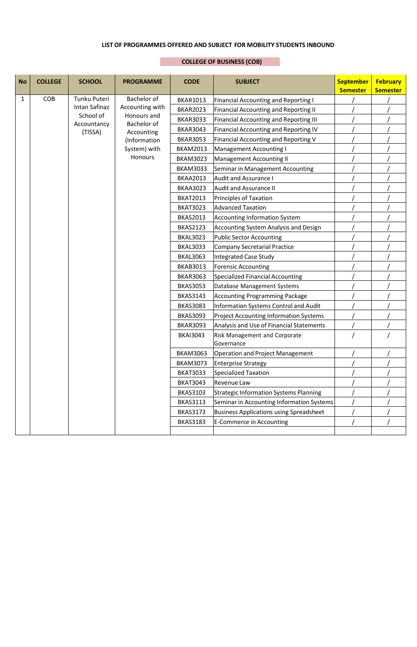## **LIST OF PROGRAMMES OFFERED AND SUBJECT FOR MOBILITY STUDENTS INBOUND**

## **COLLEGE OF BUSINESS (COB)**

| <b>No</b> | <b>COLLEGE</b> | <b>SCHOOL</b>          | <b>PROGRAMME</b>                                                            | <b>CODE</b>                              | <b>SUBJECT</b>                                 | <b>September</b><br><b>Semester</b> | <b>February</b><br><b>Semester</b> |
|-----------|----------------|------------------------|-----------------------------------------------------------------------------|------------------------------------------|------------------------------------------------|-------------------------------------|------------------------------------|
| 1         | COB            | Tunku Puteri           | Bachelor of                                                                 | <b>BKAR1013</b>                          | <b>Financial Accounting and Reporting I</b>    |                                     |                                    |
|           |                | Intan Safinaz          | Accounting with<br>Honours and<br>Bachelor of<br>Accounting<br>(Information | <b>BKAR2023</b>                          | <b>Financial Accounting and Reporting II</b>   |                                     |                                    |
|           |                | School of              |                                                                             | <b>BKAR3033</b>                          | <b>Financial Accounting and Reporting III</b>  |                                     |                                    |
|           |                | Accountancy<br>(TISSA) |                                                                             | <b>BKAR3043</b>                          | Financial Accounting and Reporting IV          |                                     |                                    |
|           |                |                        |                                                                             | <b>BKAR3053</b>                          | Financial Accounting and Reporting V           |                                     |                                    |
|           |                |                        | System) with                                                                | <b>BKAM2013</b>                          | <b>Management Accounting I</b>                 |                                     |                                    |
|           |                |                        | Honours                                                                     | <b>BKAM3023</b>                          | <b>Management Accounting II</b>                |                                     |                                    |
|           |                |                        |                                                                             | <b>BKAM3033</b>                          | Seminar in Management Accounting               |                                     |                                    |
|           |                |                        |                                                                             | <b>BKAA2013</b>                          | <b>Audit and Assurance I</b>                   |                                     |                                    |
|           |                |                        |                                                                             | <b>BKAA3023</b>                          | <b>Audit and Assurance II</b>                  |                                     |                                    |
|           |                |                        |                                                                             | <b>BKAT2013</b>                          | <b>Principles of Taxation</b>                  |                                     |                                    |
|           |                |                        |                                                                             | <b>BKAT3023</b>                          | <b>Advanced Taxation</b>                       |                                     |                                    |
|           |                |                        |                                                                             | <b>BKAS2013</b>                          | <b>Accounting Information System</b>           |                                     |                                    |
|           |                |                        |                                                                             | <b>BKAS2123</b>                          | Accounting System Analysis and Design          |                                     |                                    |
|           |                |                        |                                                                             | <b>BKAL3023</b>                          | <b>Public Sector Accounting</b>                |                                     |                                    |
|           |                |                        |                                                                             | <b>BKAL3033</b>                          | <b>Company Secretarial Practice</b>            |                                     |                                    |
|           |                |                        |                                                                             | <b>BKAL3063</b>                          | <b>Integrated Case Study</b>                   |                                     |                                    |
|           |                |                        |                                                                             | <b>BKAB3013</b>                          | <b>Forensic Accounting</b>                     |                                     |                                    |
|           |                |                        |                                                                             | <b>BKAR3063</b>                          | <b>Specialized Financial Accounting</b>        |                                     |                                    |
|           |                |                        |                                                                             | <b>BKAS3053</b>                          | Database Management Systems                    |                                     |                                    |
|           |                |                        |                                                                             | <b>BKAS3143</b>                          | <b>Accounting Programming Package</b>          |                                     |                                    |
|           |                |                        |                                                                             | <b>BKAS3083</b>                          | Information Systems Control and Audit          |                                     |                                    |
|           |                |                        |                                                                             | <b>BKAS3093</b>                          | <b>Project Accounting Information Systems</b>  |                                     |                                    |
|           |                |                        | <b>BKAR3093</b>                                                             | Analysis and Use of Financial Statements |                                                |                                     |                                    |
|           |                |                        |                                                                             | <b>BKAI3043</b>                          | Risk Management and Corporate<br>Governance    |                                     |                                    |
|           |                |                        |                                                                             | <b>BKAM3063</b>                          | <b>Operation and Project Management</b>        |                                     |                                    |
|           |                |                        |                                                                             | <b>BKAM3073</b>                          | <b>Enterprise Strategy</b>                     |                                     |                                    |
|           |                |                        |                                                                             | <b>BKAT3033</b>                          | <b>Specialized Taxation</b>                    |                                     |                                    |
|           |                |                        |                                                                             | <b>BKAT3043</b>                          | <b>Revenue Law</b>                             |                                     |                                    |
|           |                |                        |                                                                             | <b>BKAS3103</b>                          | <b>Strategic Information Systems Planning</b>  |                                     |                                    |
|           |                |                        |                                                                             | <b>BKAS3113</b>                          | Seminar in Accounting Information Systems      |                                     |                                    |
|           |                |                        |                                                                             | <b>BKAS3173</b>                          | <b>Business Applications using Spreadsheet</b> |                                     |                                    |
|           |                |                        |                                                                             | <b>BKAS3183</b>                          | <b>E-Commerce in Accounting</b>                |                                     |                                    |
|           |                |                        |                                                                             |                                          |                                                |                                     |                                    |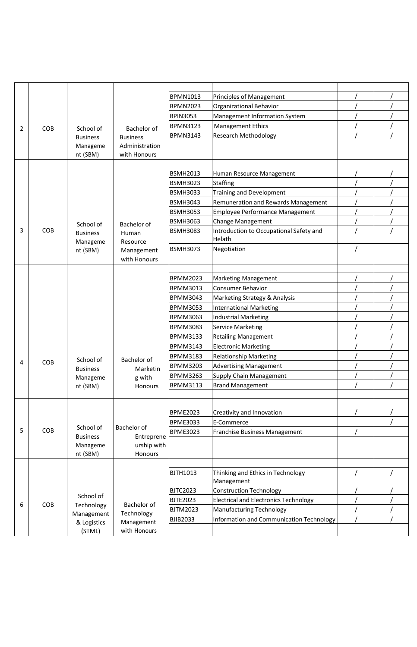|   |     |                             |                   | <b>BPMN1013</b> | Principles of Management                          |  |
|---|-----|-----------------------------|-------------------|-----------------|---------------------------------------------------|--|
|   |     |                             |                   | <b>BPMN2023</b> | Organizational Behavior                           |  |
|   |     |                             |                   | <b>BPIN3053</b> | Management Information System                     |  |
| 2 | COB | School of                   | Bachelor of       | <b>BPMN3123</b> | <b>Management Ethics</b>                          |  |
|   |     | <b>Business</b>             | <b>Business</b>   | <b>BPMN3143</b> | <b>Research Methodology</b>                       |  |
|   |     | Manageme                    | Administration    |                 |                                                   |  |
|   |     | nt (SBM)                    | with Honours      |                 |                                                   |  |
|   |     |                             |                   |                 |                                                   |  |
|   |     |                             |                   | <b>BSMH2013</b> | Human Resource Management                         |  |
|   |     |                             |                   | <b>BSMH3023</b> | Staffing                                          |  |
|   |     |                             |                   | <b>BSMH3033</b> | <b>Training and Development</b>                   |  |
|   |     |                             |                   | <b>BSMH3043</b> | Remuneration and Rewards Management               |  |
|   |     |                             |                   | <b>BSMH3053</b> | Employee Performance Management                   |  |
|   |     | School of                   | Bachelor of       | <b>BSMH3063</b> | <b>Change Management</b>                          |  |
| 3 | COB | <b>Business</b><br>Manageme | Human<br>Resource | <b>BSMH3083</b> | Introduction to Occupational Safety and<br>Helath |  |
|   |     | nt (SBM)                    | Management        | <b>BSMH3073</b> | Negotiation                                       |  |
|   |     |                             | with Honours      |                 |                                                   |  |
|   |     |                             |                   |                 |                                                   |  |
|   |     |                             |                   | <b>BPMM2023</b> | <b>Marketing Management</b>                       |  |
|   |     |                             |                   | <b>BPMM3013</b> | <b>Consumer Behavior</b>                          |  |
|   |     |                             |                   | <b>BPMM3043</b> | Marketing Strategy & Analysis                     |  |
|   |     |                             |                   | <b>BPMM3053</b> | <b>International Marketing</b>                    |  |
|   |     |                             |                   | <b>BPMM3063</b> | <b>Industrial Marketing</b>                       |  |
|   |     |                             |                   | <b>BPMM3083</b> | <b>Service Marketing</b>                          |  |
|   |     |                             |                   | <b>BPMM3133</b> | <b>Retailing Management</b>                       |  |
|   |     |                             |                   | <b>BPMM3143</b> | <b>Electronic Marketing</b>                       |  |
|   |     | School of                   | Bachelor of       | <b>BPMM3183</b> | <b>Relationship Marketing</b>                     |  |
| 4 | COB | <b>Business</b>             | Marketin          | <b>BPMM3203</b> | <b>Advertising Management</b>                     |  |
|   |     | Manageme                    | g with            | <b>BPMM3263</b> | Supply Chain Management                           |  |
|   |     | nt (SBM)                    | <b>Honours</b>    | <b>BPMM3113</b> | <b>Brand Management</b>                           |  |
|   |     |                             |                   |                 |                                                   |  |
|   |     |                             |                   |                 |                                                   |  |
|   |     |                             |                   | <b>BPME2023</b> | Creativity and Innovation                         |  |
|   |     | School of                   | Bachelor of       | <b>BPME3033</b> | E-Commerce                                        |  |
| 5 | COB | <b>Business</b>             | Entreprene        | <b>BPME3023</b> | Franchise Business Management                     |  |
|   |     | Manageme                    | urship with       |                 |                                                   |  |
|   |     | nt (SBM)                    | Honours           |                 |                                                   |  |
|   |     |                             |                   |                 |                                                   |  |
|   |     |                             |                   | <b>BJTH1013</b> | Thinking and Ethics in Technology<br>Management   |  |
|   |     | School of                   |                   | <b>BJTC2023</b> | <b>Construction Technology</b>                    |  |
| 6 | COB | Technology                  | Bachelor of       | <b>BJTE2023</b> | <b>Electrical and Electronics Technology</b>      |  |
|   |     | Management                  | Technology        | <b>BJTM2023</b> | <b>Manufacturing Technology</b>                   |  |
|   |     | & Logistics                 | Management        | <b>BJIB2033</b> | Information and Communication Technology          |  |
|   |     | (STML)                      | with Honours      |                 |                                                   |  |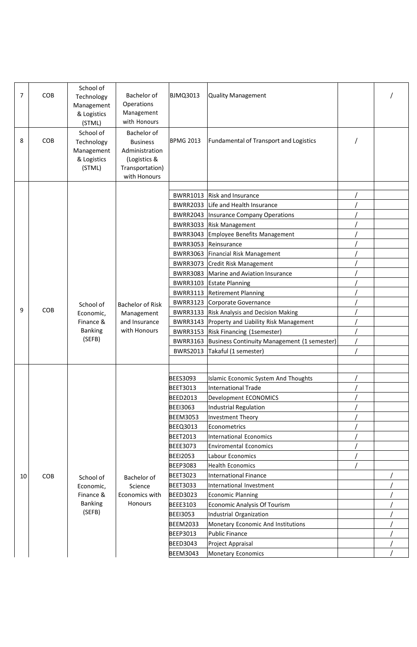| 7  | COB | School of<br>Technology<br>Management<br>& Logistics<br>(STML) | Bachelor of<br>Operations<br>Management<br>with Honours                                             | <b>BJMQ3013</b>  | <b>Quality Management</b>                     |  |
|----|-----|----------------------------------------------------------------|-----------------------------------------------------------------------------------------------------|------------------|-----------------------------------------------|--|
| 8  | COB | School of<br>Technology<br>Management<br>& Logistics<br>(STML) | Bachelor of<br><b>Business</b><br>Administration<br>(Logistics &<br>Transportation)<br>with Honours | <b>BPMG 2013</b> | <b>Fundamental of Transport and Logistics</b> |  |
|    |     |                                                                |                                                                                                     | <b>BWRR1013</b>  | <b>Risk and Insurance</b>                     |  |
|    |     |                                                                |                                                                                                     | <b>BWRR2033</b>  | Life and Health Insurance                     |  |
|    |     |                                                                |                                                                                                     |                  | <b>BWRR2043  Insurance Company Operations</b> |  |
|    |     |                                                                |                                                                                                     | <b>BWRR3033</b>  | <b>Risk Management</b>                        |  |
|    |     |                                                                |                                                                                                     | <b>BWRR3043</b>  | <b>Employee Benefits Management</b>           |  |
|    |     |                                                                |                                                                                                     | <b>BWRR3053</b>  | Reinsurance                                   |  |
|    |     |                                                                |                                                                                                     | <b>BWRR3063</b>  | Financial Risk Management                     |  |
|    |     |                                                                |                                                                                                     | <b>BWRR3073</b>  | Credit Risk Management                        |  |
|    |     |                                                                |                                                                                                     | <b>BWRR3083</b>  | Marine and Aviation Insurance                 |  |
|    |     |                                                                |                                                                                                     | <b>BWRR3103</b>  | <b>Estate Planning</b>                        |  |
|    |     |                                                                |                                                                                                     | <b>BWRR3113</b>  | <b>Retirement Planning</b>                    |  |
|    |     | School of                                                      | <b>Bachelor of Risk</b>                                                                             | <b>BWRR3123</b>  | Corporate Governance                          |  |
| 9  | COB | Economic,                                                      | Management                                                                                          | <b>BWRR3133</b>  | Risk Analysis and Decision Making             |  |
|    |     | Finance &                                                      | and Insurance                                                                                       | <b>BWRR3143</b>  | Property and Liability Risk Management        |  |
|    |     | <b>Banking</b>                                                 | with Honours                                                                                        | <b>BWRR3153</b>  | Risk Financing (1semester)                    |  |
|    |     | (SEFB)                                                         |                                                                                                     | <b>BWRR3163</b>  | Business Continuity Management (1 semester)   |  |
|    |     |                                                                |                                                                                                     | <b>BWRS2013</b>  | Takaful (1 semester)                          |  |
|    |     |                                                                |                                                                                                     |                  |                                               |  |
|    |     |                                                                |                                                                                                     |                  |                                               |  |
|    |     |                                                                |                                                                                                     | <b>BEES3093</b>  | Islamic Economic System And Thoughts          |  |
|    |     |                                                                |                                                                                                     | <b>BEET3013</b>  | <b>International Trade</b>                    |  |
|    |     |                                                                |                                                                                                     | <b>BEED2013</b>  | Development ECONOMICS                         |  |
|    |     |                                                                |                                                                                                     | <b>BEEI3063</b>  | <b>Industrial Regulation</b>                  |  |
|    |     |                                                                |                                                                                                     | <b>BEEM3053</b>  | Investment Theory                             |  |
|    |     |                                                                |                                                                                                     | <b>BEEQ3013</b>  | Econometrics                                  |  |
|    |     |                                                                |                                                                                                     | <b>BEET2013</b>  | <b>International Economics</b>                |  |
|    |     |                                                                |                                                                                                     | <b>BEEE3073</b>  | <b>Enviromental Economics</b>                 |  |
|    |     |                                                                |                                                                                                     | <b>BEEI2053</b>  | Labour Economics                              |  |
|    |     |                                                                |                                                                                                     | <b>BEEP3083</b>  | <b>Health Economics</b>                       |  |
| 10 | COB | School of                                                      | Bachelor of                                                                                         | <b>BEET3023</b>  | <b>International Finance</b>                  |  |
|    |     | Economic,                                                      | Science                                                                                             | <b>BEET3033</b>  | International Investment                      |  |
|    |     | Finance &                                                      | Economics with                                                                                      | <b>BEED3023</b>  | <b>Economic Planning</b>                      |  |
|    |     | <b>Banking</b>                                                 | Honours                                                                                             | <b>BEEE3103</b>  | <b>Economic Analysis Of Tourism</b>           |  |
|    |     | (SEFB)                                                         |                                                                                                     | <b>BEEI3053</b>  | Industrial Organization                       |  |
|    |     |                                                                |                                                                                                     | <b>BEEM2033</b>  | Monetary Economic And Institutions            |  |
|    |     |                                                                |                                                                                                     | <b>BEEP3013</b>  | <b>Public Finance</b>                         |  |
|    |     |                                                                |                                                                                                     | <b>BEED3043</b>  | Project Appraisal                             |  |
|    |     |                                                                |                                                                                                     | <b>BEEM3043</b>  | <b>Monetary Economics</b>                     |  |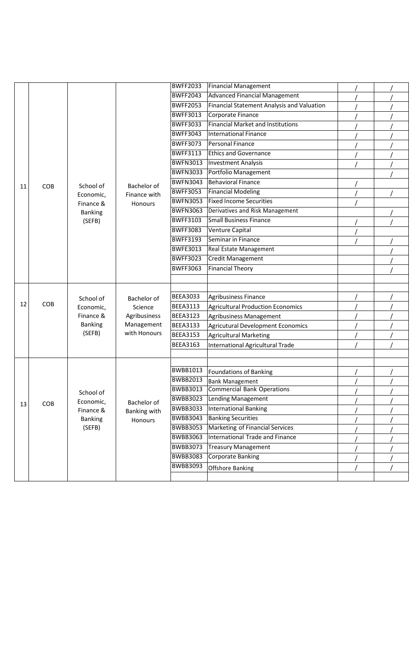|    |     |                                                                 |                                                                      | <b>BWFF2033</b> | Financial Management                       |  |
|----|-----|-----------------------------------------------------------------|----------------------------------------------------------------------|-----------------|--------------------------------------------|--|
|    |     |                                                                 |                                                                      | <b>BWFF2043</b> | <b>Advanced Financial Management</b>       |  |
|    |     |                                                                 |                                                                      | <b>BWFF2053</b> | Financial Statement Analysis and Valuation |  |
|    |     |                                                                 |                                                                      | <b>BWFF3013</b> | Corporate Finance                          |  |
|    |     |                                                                 |                                                                      | <b>BWFF3033</b> | <b>Financial Market and Institutions</b>   |  |
|    |     |                                                                 |                                                                      | <b>BWFF3043</b> | International Finance                      |  |
|    |     |                                                                 |                                                                      | <b>BWFF3073</b> | Personal Finance                           |  |
|    |     |                                                                 |                                                                      | <b>BWFF3113</b> | <b>Ethics and Governance</b>               |  |
|    |     |                                                                 |                                                                      | <b>BWFN3013</b> | <b>Investment Analysis</b>                 |  |
|    |     |                                                                 |                                                                      | <b>BWFN3033</b> | Portfolio Management                       |  |
|    |     | School of                                                       |                                                                      | <b>BWFN3043</b> | Behavioral Finance                         |  |
| 11 | COB | Economic,                                                       | Bachelor of                                                          | <b>BWFF3053</b> | <b>Financial Modeling</b>                  |  |
|    |     | Finance &                                                       | Finance with<br>Honours                                              | <b>BWFN3053</b> | <b>Fixed Income Securities</b>             |  |
|    |     | <b>Banking</b>                                                  |                                                                      | <b>BWFN3063</b> | Derivatives and Risk Management            |  |
|    |     | (SEFB)                                                          |                                                                      | <b>BWFF3103</b> | <b>Small Business Finance</b>              |  |
|    |     |                                                                 |                                                                      | <b>BWFF3083</b> | <b>Venture Capital</b>                     |  |
|    |     |                                                                 |                                                                      | <b>BWFF3193</b> | Seminar in Finance                         |  |
|    |     |                                                                 |                                                                      | <b>BWFE3013</b> | Real Estate Management                     |  |
|    |     |                                                                 |                                                                      | <b>BWFF3023</b> | <b>Credit Management</b>                   |  |
|    |     |                                                                 |                                                                      | <b>BWFF3063</b> | <b>Financial Theory</b>                    |  |
|    |     |                                                                 |                                                                      |                 |                                            |  |
|    | COB | School of<br>Economic,<br>Finance &<br><b>Banking</b><br>(SEFB) | Bachelor of<br>Science<br>Agribusiness<br>Management<br>with Honours |                 |                                            |  |
|    |     |                                                                 |                                                                      | <b>BEEA3033</b> | <b>Agribusiness Finance</b>                |  |
| 12 |     |                                                                 |                                                                      | <b>BEEA3113</b> | <b>Agricultural Production Economics</b>   |  |
|    |     |                                                                 |                                                                      | <b>BEEA3123</b> | Agribusiness Management                    |  |
|    |     |                                                                 |                                                                      | <b>BEEA3133</b> | <b>Agricutural Development Economics</b>   |  |
|    |     |                                                                 |                                                                      | <b>BEEA3153</b> | <b>Agricultural Marketing</b>              |  |
|    |     |                                                                 |                                                                      | <b>BEEA3163</b> | International Agricultural Trade           |  |
|    |     |                                                                 |                                                                      |                 |                                            |  |
|    |     | School of<br>Economic,<br>Finance &<br><b>Banking</b><br>(SEFB) | Bachelor of<br>Banking with<br>Honours                               |                 |                                            |  |
|    |     |                                                                 |                                                                      | <b>BWBB1013</b> | Foundations of Banking                     |  |
|    | COB |                                                                 |                                                                      | <b>BWBB2013</b> | <b>Bank Management</b>                     |  |
|    |     |                                                                 |                                                                      | <b>BWBB3013</b> | <b>Commercial Bank Operations</b>          |  |
| 13 |     |                                                                 |                                                                      | <b>BWBB3023</b> | <b>Lending Management</b>                  |  |
|    |     |                                                                 |                                                                      | <b>BWBB3033</b> | <b>International Banking</b>               |  |
|    |     |                                                                 |                                                                      | <b>BWBB3043</b> | <b>Banking Securities</b>                  |  |
|    |     |                                                                 |                                                                      | <b>BWBB3053</b> | Marketing of Financial Services            |  |
|    |     |                                                                 |                                                                      | <b>BWBB3063</b> | International Trade and Finance            |  |
|    |     |                                                                 |                                                                      | <b>BWBB3073</b> | <b>Treasury Management</b>                 |  |
|    |     |                                                                 |                                                                      | <b>BWBB3083</b> | <b>Corporate Banking</b>                   |  |
|    |     |                                                                 |                                                                      | <b>BWBB3093</b> | Offshore Banking                           |  |
|    |     |                                                                 |                                                                      |                 |                                            |  |